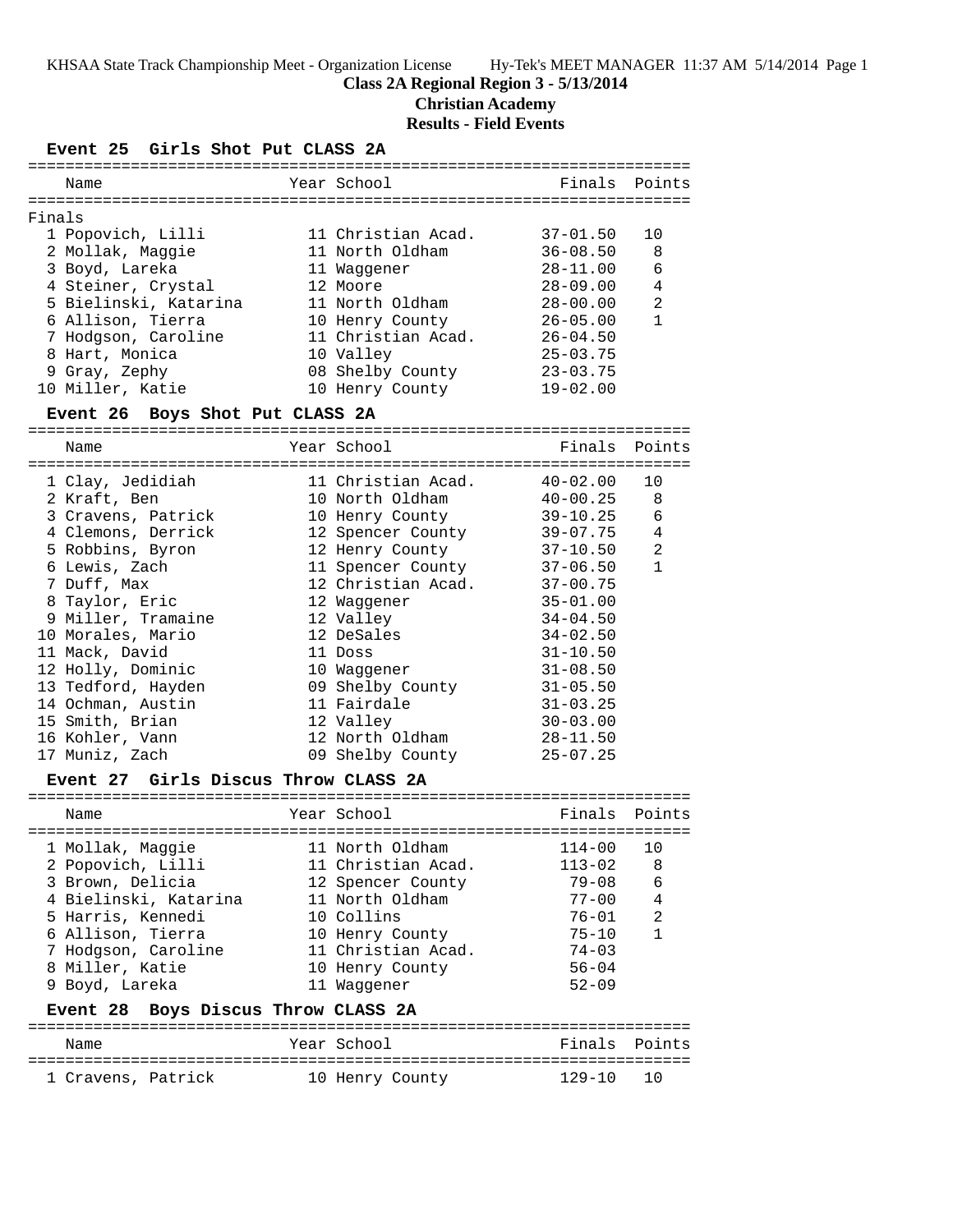KHSAA State Track Championship Meet - Organization License Hy-Tek's MEET MANAGER 11:37 AM 5/14/2014 Page 1

## **Class 2A Regional Region 3 - 5/13/2014**

**Christian Academy**

# **Results - Field Events**

## **Event 25 Girls Shot Put CLASS 2A**

| Name                  |  | Finals Points                                                                                                                                                                                   |                |
|-----------------------|--|-------------------------------------------------------------------------------------------------------------------------------------------------------------------------------------------------|----------------|
| Finals                |  |                                                                                                                                                                                                 |                |
| 1 Popovich, Lilli     |  | $37 - 01.50$                                                                                                                                                                                    | 10             |
| 2 Mollak, Maggie      |  | $36 - 08.50$                                                                                                                                                                                    | 8              |
| 3 Boyd, Lareka        |  | $28 - 11.00$                                                                                                                                                                                    | 6              |
| 4 Steiner, Crystal    |  | $28 - 09.00$                                                                                                                                                                                    | 4              |
| 5 Bielinski, Katarina |  | $28 - 00.00$                                                                                                                                                                                    | $\mathfrak{D}$ |
| 6 Allison, Tierra     |  | $26 - 05.00$                                                                                                                                                                                    | 1              |
| 7 Hodgson, Caroline   |  | $26 - 04.50$                                                                                                                                                                                    |                |
| 8 Hart, Monica        |  | $25 - 03.75$                                                                                                                                                                                    |                |
| 9 Gray, Zephy         |  | $23 - 03.75$                                                                                                                                                                                    |                |
| 10 Miller, Katie      |  | $19 - 02.00$                                                                                                                                                                                    |                |
|                       |  | Year School<br>11 Christian Acad.<br>11 North Oldham<br>11 Waqqener<br>12 Moore<br>11 North Oldham<br>10 Henry County<br>11 Christian Acad.<br>10 Valley<br>08 Shelby County<br>10 Henry County |                |

#### **Event 26 Boys Shot Put CLASS 2A**

=======================================================================

| Name               | Year School        |              | Finals Points |
|--------------------|--------------------|--------------|---------------|
| 1 Clay, Jedidiah   | 11 Christian Acad. | 40-02.00     | 10            |
| 2 Kraft, Ben       | 10 North Oldham    | 40-00.25     | 8             |
| 3 Cravens, Patrick | 10 Henry County    | 39-10.25     | 6             |
| 4 Clemons, Derrick | 12 Spencer County  | 39-07.75     | 4             |
| 5 Robbins, Byron   | 12 Henry County    | 37-10.50     | 2             |
| 6 Lewis, Zach      | 11 Spencer County  | 37-06.50     | $\mathbf{1}$  |
| 7 Duff, Max        | 12 Christian Acad. | $37 - 00.75$ |               |
| 8 Taylor, Eric     | 12 Waqqener        | $35 - 01.00$ |               |
| 9 Miller, Tramaine | 12 Valley          | $34 - 04.50$ |               |
| 10 Morales, Mario  | 12 DeSales         | $34 - 02.50$ |               |
| 11 Mack, David     | 11 Doss            | $31 - 10.50$ |               |
| 12 Holly, Dominic  | 10 Waqqener        | $31 - 08.50$ |               |
| 13 Tedford, Hayden | 09 Shelby County   | $31 - 05.50$ |               |
| 14 Ochman, Austin  | 11 Fairdale        | $31 - 03.25$ |               |
| 15 Smith, Brian    | 12 Valley          | $30 - 03.00$ |               |
| 16 Kohler, Vann    | 12 North Oldham    | $28 - 11.50$ |               |
| 17 Muniz, Zach     | 09 Shelby County   | $25 - 07.25$ |               |

#### **Event 27 Girls Discus Throw CLASS 2A**

| Name                  | Year School        | Finals Points |                |
|-----------------------|--------------------|---------------|----------------|
| 1 Mollak, Maggie      | 11 North Oldham    | $114 - 00$    | 1 O            |
| 2 Popovich, Lilli     | 11 Christian Acad. | $113 - 02$    | 8              |
| 3 Brown, Delicia      | 12 Spencer County  | $79 - 08$     | 6              |
| 4 Bielinski, Katarina | 11 North Oldham    | $77 - 00$     | $\overline{4}$ |
| 5 Harris, Kennedi     | 10 Collins         | $76 - 01$     | $\mathfrak{D}$ |
| 6 Allison, Tierra     | 10 Henry County    | $75 - 10$     | $\mathbf{1}$   |
| 7 Hodgson, Caroline   | 11 Christian Acad. | $74 - 03$     |                |
| 8 Miller, Katie       | 10 Henry County    | $56 - 04$     |                |
| 9 Boyd, Lareka        | 11 Waqqener        | $52 - 09$     |                |

#### **Event 28 Boys Discus Throw CLASS 2A**

| Name               | Year School     | Finals Points |
|--------------------|-----------------|---------------|
| 1 Cravens, Patrick | 10 Henry County | 129-10 10     |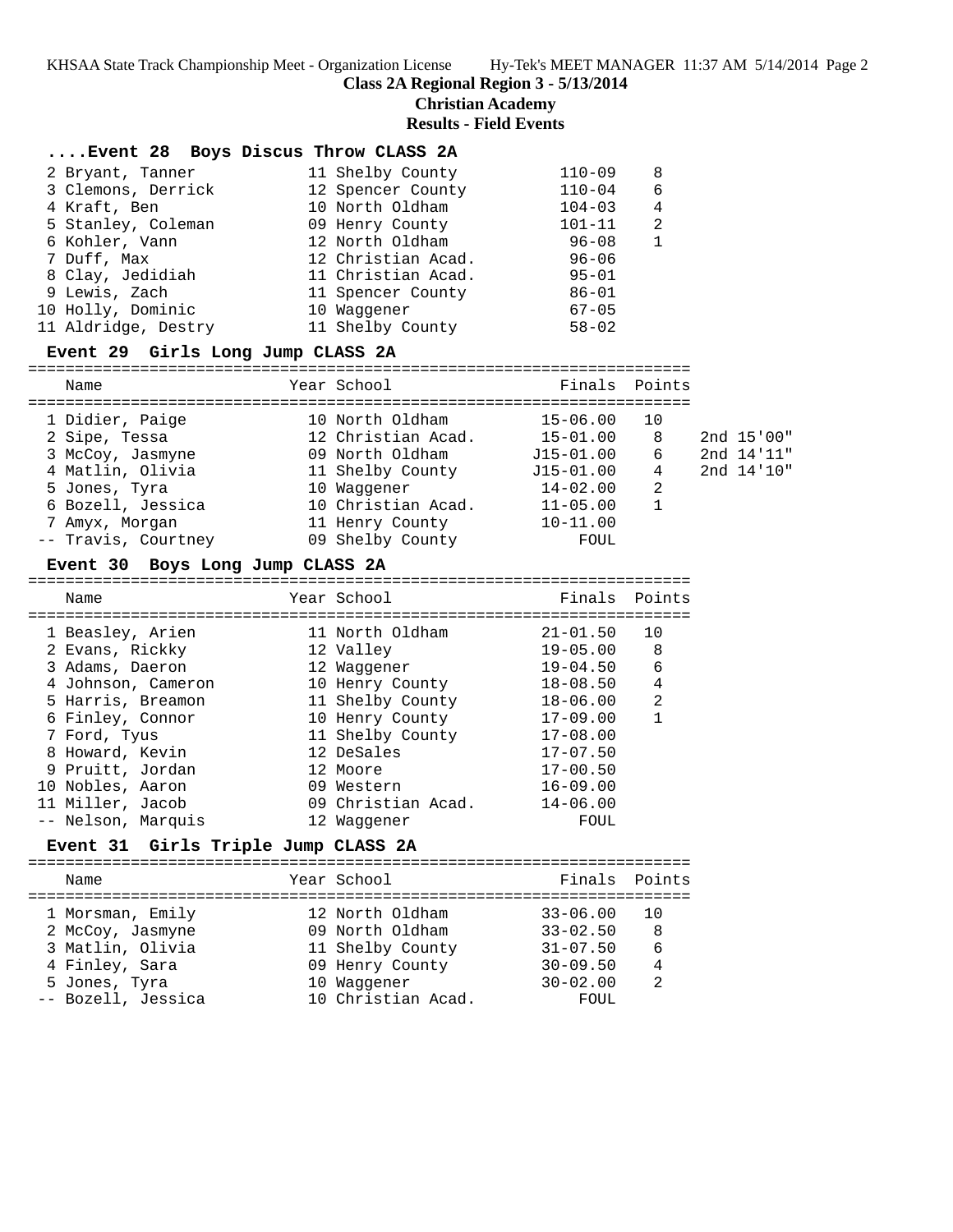**Class 2A Regional Region 3 - 5/13/2014**

**Christian Academy**

**Results - Field Events**

## **....Event 28 Boys Discus Throw CLASS 2A**

| 2 Bryant, Tanner    | 11 Shelby County   | $110 - 09$ | 8            |
|---------------------|--------------------|------------|--------------|
| 3 Clemons, Derrick  | 12 Spencer County  | $110 - 04$ | -6           |
| 4 Kraft, Ben        | 10 North Oldham    | $104 - 03$ | 4            |
| 5 Stanley, Coleman  | 09 Henry County    | $101 - 11$ | 2            |
| 6 Kohler, Vann      | 12 North Oldham    | $96 - 08$  | $\mathbf{1}$ |
| 7 Duff, Max         | 12 Christian Acad. | $96 - 06$  |              |
| 8 Clay, Jedidiah    | 11 Christian Acad. | $95 - 01$  |              |
| 9 Lewis, Zach       | 11 Spencer County  | $86 - 01$  |              |
| 10 Holly, Dominic   | 10 Waqqener        | $67 - 05$  |              |
| 11 Aldridge, Destry | 11 Shelby County   | $58 - 02$  |              |

### **Event 29 Girls Long Jump CLASS 2A**

#### =======================================================================

Name **The Year School** Finals Points

| 1 Didier, Paige     | 10 North Oldham    | $15 - 06.00$  | 10 |            |
|---------------------|--------------------|---------------|----|------------|
| 2 Sipe, Tessa       | 12 Christian Acad. | $15 - 01.00$  | 8  | 2nd 15'00" |
| 3 McCoy, Jasmyne    | 09 North Oldham    | $J15 - 01.00$ | 6  | 2nd 14'11" |
| 4 Matlin, Olivia    | 11 Shelby County   | $J15 - 01.00$ | 4  | 2nd 14'10" |
| 5 Jones, Tyra       | 10 Waqqener        | $14 - 02.00$  | 2  |            |
| 6 Bozell, Jessica   | 10 Christian Acad. | $11 - 05.00$  |    |            |
| 7 Amyx, Morgan      | 11 Henry County    | $10 - 11.00$  |    |            |
| -- Travis, Courtney | 09 Shelby County   | FOUL          |    |            |

#### **Event 30 Boys Long Jump CLASS 2A**

| Name |                                                                                                                                                                                                                                            |                                                                                                                                                                                                                       |                               |
|------|--------------------------------------------------------------------------------------------------------------------------------------------------------------------------------------------------------------------------------------------|-----------------------------------------------------------------------------------------------------------------------------------------------------------------------------------------------------------------------|-------------------------------|
|      |                                                                                                                                                                                                                                            | $21 - 01.50$                                                                                                                                                                                                          | 10                            |
|      |                                                                                                                                                                                                                                            |                                                                                                                                                                                                                       | 8                             |
|      |                                                                                                                                                                                                                                            | $19 - 04.50$                                                                                                                                                                                                          | 6                             |
|      |                                                                                                                                                                                                                                            | $18 - 08.50$                                                                                                                                                                                                          | 4                             |
|      |                                                                                                                                                                                                                                            | $18 - 06.00$                                                                                                                                                                                                          | $\overline{2}$                |
|      |                                                                                                                                                                                                                                            | $17 - 09.00$                                                                                                                                                                                                          |                               |
|      |                                                                                                                                                                                                                                            | $17 - 08.00$                                                                                                                                                                                                          |                               |
|      |                                                                                                                                                                                                                                            | $17 - 07.50$                                                                                                                                                                                                          |                               |
|      |                                                                                                                                                                                                                                            | $17 - 00.50$                                                                                                                                                                                                          |                               |
|      |                                                                                                                                                                                                                                            | $16 - 09.00$                                                                                                                                                                                                          |                               |
|      |                                                                                                                                                                                                                                            | $14 - 06.00$                                                                                                                                                                                                          |                               |
|      |                                                                                                                                                                                                                                            | FOUL                                                                                                                                                                                                                  |                               |
|      | 1 Beasley, Arien<br>2 Evans, Rickky<br>3 Adams, Daeron<br>4 Johnson, Cameron<br>5 Harris, Breamon<br>6 Finley, Connor<br>7 Ford, Tyus<br>8 Howard, Kevin<br>9 Pruitt, Jordan<br>10 Nobles, Aaron<br>11 Miller, Jacob<br>-- Nelson, Marquis | Year School<br>11 North Oldham<br>12 Valley<br>12 Waqqener<br>10 Henry County<br>11 Shelby County<br>10 Henry County<br>11 Shelby County<br>12 DeSales<br>12 Moore<br>09 Western<br>09 Christian Acad.<br>12 Waqqener | Finals Points<br>$19 - 05.00$ |

# **Event 31 Girls Triple Jump CLASS 2A**

| Name                                                                                        | Year School                                                                              | Finals Points                                                                |                                      |
|---------------------------------------------------------------------------------------------|------------------------------------------------------------------------------------------|------------------------------------------------------------------------------|--------------------------------------|
| 1 Morsman, Emily<br>2 McCoy, Jasmyne<br>3 Matlin, Olivia<br>4 Finley, Sara<br>5 Jones, Tyra | 12 North Oldham<br>09 North Oldham<br>11 Shelby County<br>09 Henry County<br>10 Waqqener | $33 - 06.00$<br>$33 - 02.50$<br>$31 - 07.50$<br>$30 - 09.50$<br>$30 - 02.00$ | 1 O<br>8<br>6<br>4<br>$\mathfrak{D}$ |
| -- Bozell, Jessica                                                                          | 10 Christian Acad.                                                                       | FOUL                                                                         |                                      |
|                                                                                             |                                                                                          |                                                                              |                                      |